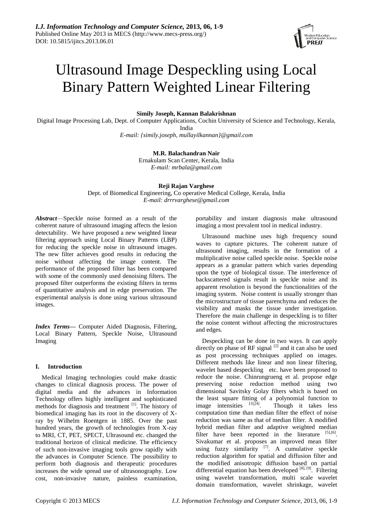

# Ultrasound Image Despeckling using Local Binary Pattern Weighted Linear Filtering

## **Simily Joseph, Kannan Balakrishnan**

Digital Image Processing Lab, Dept. of Computer Applications, Cochin University of Science and Technology, Kerala, India *E-mail: {simily.joseph, mullayilkannan}@gmail.com*

# **M.R. Balachandran Nair**

Ernakulam Scan Center, Kerala, India *E-mail: mrbala@gmail.com*

## **Reji Rajan Varghese**

Dept. of Biomedical Engineering, Co operative Medical College, Kerala, India *E-mail: drrrvarghese@gmail.com*

*Abstract*—Speckle noise formed as a result of the coherent nature of ultrasound imaging affects the lesion detectability. We have proposed a new weighted linear filtering approach using Local Binary Patterns (LBP) for reducing the speckle noise in ultrasound images. The new filter achieves good results in reducing the noise without affecting the image content. The performance of the proposed filter has been compared with some of the commonly used denoising filters. The proposed filter outperforms the existing filters in terms of quantitative analysis and in edge preservation. The experimental analysis is done using various ultrasound images.

*Index Terms***—** Computer Aided Diagnosis, Filtering, Local Binary Pattern, Speckle Noise, Ultrasound Imaging

# **I. Introduction**

Medical Imaging technologies could make drastic changes to clinical diagnosis process. The power of digital media and the advances in Information Technology offers highly intelligent and sophisticated methods for diagnosis and treatment  $[1]$ . The history of biomedical imaging has its root in the discovery of Xray by Wilhelm Roentgen in 1885. Over the past hundred years, the growth of technologies from X-ray to MRI, CT, PET, SPECT, Ultrasound etc. changed the traditional horizon of clinical medicine. The efficiency of such non-invasive imaging tools grow rapidly with the advances in Computer Science. The possibility to perform both diagnosis and therapeutic procedures increases the wide spread use of ultrasonography. Low cost, non-invasive nature, painless examination,

portability and instant diagnosis make ultrasound imaging a most prevalent tool in medical industry.

Ultrasound machine uses high frequency sound waves to capture pictures. The coherent nature of ultrasound imaging, results in the formation of a multiplicative noise called speckle noise. Speckle noise appears as a granular pattern which varies depending upon the type of biological tissue. The interference of backscattered signals result in speckle noise and its apparent resolution is beyond the functionalities of the imaging system. Noise content is usually stronger than the microstructure of tissue parenchyma and reduces the visibility and masks the tissue under investigation. Therefore the main challenge in despeckling is to filter the noise content without affecting the microstructures and edges.

Despeckling can be done in two ways. It can apply directly on phase of RF signal  $^{[2]}$  and it can also be used as post processing techniques applied on images. Different methods like linear and non linear filtering, wavelet based despeckling etc. have been proposed to reduce the noise. Chinrungrueng et al. propose edge preserving noise reduction method using two dimensional Savitsky Golay filters which is based on the least square fitting of a polynomial function to image intensities  $^{[3],[4]}$ . Though it takes less computation time than median filter the effect of noise reduction was same as that of median filter. A modified hybrid median filter and adaptive weighted median filter have been reported in the literature  $[5]$ , $[6]$ . Sivakumar et al. proposes an improved mean filter using fuzzy similarity  $^{[7]}$ . A cumulative speckle reduction algorithm for spatial and diffusion filter and the modified anisotropic diffusion based on partial differential equation has been developed [8], [9]. Filtering using wavelet transformation, multi scale wavelet domain transformation, wavelet shrinkage, wavelet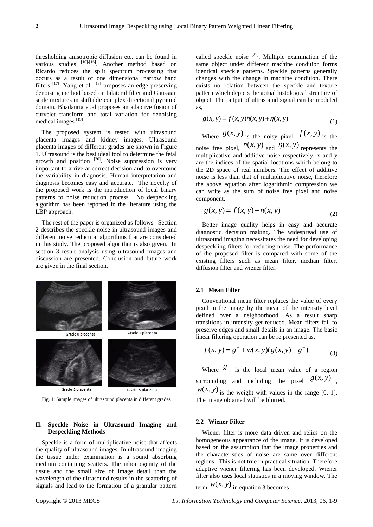thresholding anisotropic diffusion etc. can be found in various studies [10]-[16]. Another method based on Ricardo reduces the split spectrum processing that occurs as a result of one dimensional narrow band filters  $^{[17]}$ . Yang et al.  $^{[18]}$  proposes an edge preserving denoising method based on bilateral filter and Gaussian scale mixtures in shiftable complex directional pyramid domain. Bhadauria et.al proposes an adaptive fusion of curvelet transform and total variation for denoising medical images [19].

The proposed system is tested with ultrasound placenta images and kidney images. Ultrasound placenta images of different grades are shown in Figure 1. Ultrasound is the best ideal tool to determine the fetal growth and position  $[20]$ . Noise suppression is very important to arrive at correct decision and to overcome the variability in diagnosis. Human interpretation and diagnosis becomes easy and accurate. The novelty of the proposed work is the introduction of local binary patterns to noise reduction process. No despeckling algorithm has been reported in the literature using the LBP approach.

The rest of the paper is organized as follows. Section 2 describes the speckle noise in ultrasound images and different noise reduction algorithms that are considered in this study. The proposed algorithm is also given. In section 3 result analysis using ultrasound images and discussion are presented. Conclusion and future work are given in the final section.



Grade 2 placents

Fig. 1: Sample images of ultrasound placenta in different grades

## **II. Speckle Noise in Ultrasound Imaging and Despeckling Methods**

Speckle is a form of multiplicative noise that affects the quality of ultrasound images. In ultrasound imaging the tissue under examination is a sound absorbing medium containing scatters. The inhomogenity of the tissue and the small size of image detail than the wavelength of the ultrasound results in the scattering of signals and lead to the formation of a granular pattern

called speckle noise  $[21]$ . Multiple examination of the same object under different machine condition forms identical speckle patterns. Speckle patterns generally changes with the change in machine condition. There exists no relation between the speckle and texture pattern which depicts the actual histological structure of object. The output of ultrasound signal can be modeled as,

$$
g(x, y) = f(x, y)n(x, y) + \eta(x, y)
$$
\n(1)

Where 
$$
g(x, y)
$$
 is the noisy pixel,  $f(x, y)$  is the

noise free pixel,  $n(x, y)$  and  $n(x, y)$  represents the multiplicative and additive noise respectively, x and y are the indices of the spatial locations which belong to the 2D space of real numbers. The effect of additive noise is less than that of multiplicative noise, therefore the above equation after logarithmic compression we can write as the sum of noise free pixel and noise component.

$$
g(x, y) = f(x, y) + n(x, y)
$$
 (2)

Better image quality helps in easy and accurate diagnostic decision making. The widespread use of ultrasound imaging necessitates the need for developing despeckling filters for reducing noise. The performance of the proposed filter is compared with some of the existing filters such as mean filter, median filter, diffusion filter and wiener filter.

#### **2.1 Mean Filter**

Conventional mean filter replaces the value of every pixel in the image by the mean of the intensity level defined over a neighborhood. As a result sharp transitions in intensity get reduced. Mean filters fail to preserve edges and small details in an image. The basic

linear filtering operation can be re presented as,  

$$
f(x, y) = g^{-} + w(x, y)(g(x, y) - g^{-})
$$
(3)

Where  $g^{-}$ is the local mean value of a region surrounding and including the pixel  $g(x, y)$ ,  $w(x, y)$  is the weight with values in the range [0, 1].

The image obtained will be blurred.

# **2.2 Wiener Filter**

Wiener filter is more data driven and relies on the homogeneous appearance of the image. It is developed based on the assumption that the image properties and the characteristics of noise are same over different regions. This is not true in practical situation. Therefore adaptive wiener filtering has been developed. Wiener filter also uses local statistics in a moving window. The

term  $W(x, y)$  in equation 3 becomes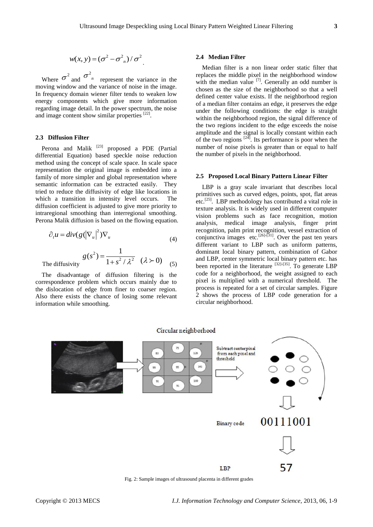$$
w(x, y) = (\sigma^2 - \sigma_{n}^2) / \sigma^2
$$

.

Where  $\sigma^2$  and  $\sigma^2$ <sup>n</sup> represent the variance in the moving window and the variance of noise in the image. In frequency domain wiener filter tends to weaken low energy components which give more information regarding image detail. In the power spectrum, the noise and image content show similar properties  $[22]$ .

# **2.3 Diffusion Filter**

Perona and Malik <sup>[23]</sup> proposed a PDE (Partial differential Equation) based speckle noise reduction method using the concept of scale space. In scale space representation the original image is embedded into a family of more simpler and global representation where semantic information can be extracted easily. They tried to reduce the diffusivity of edge like locations in which a transition in intensity level occurs. The diffusion coefficient is adjusted to give more priority to intraregional smoothing than interregional smoothing. Perona Malik diffusion is based on the flowing equation.

$$
\partial_t u = \operatorname{div}(g(|\nabla_u|^2)\nabla_u \tag{4}
$$

The diffusivity 
$$
g(s^2) = \frac{1}{1 + s^2 / \lambda^2} (\lambda > 0)
$$
 (5)

The disadvantage of diffusion filtering is the correspondence problem which occurs mainly due to the dislocation of edge from finer to coarser region. Also there exists the chance of losing some relevant information while smoothing.

#### **2.4 Median Filter**

Median filter is a non linear order static filter that replaces the middle pixel in the neighborhood window with the median value  $^{[7]}$ . Generally an odd number is chosen as the size of the neighborhood so that a well defined center value exists. If the neighborhood region of a median filter contains an edge, it preserves the edge under the following conditions: the edge is straight within the neighborhood region, the signal difference of the two regions incident to the edge exceeds the noise amplitude and the signal is locally constant within each of the two regions  $[24]$ . Its performance is poor when the number of noise pixels is greater than or equal to half the number of pixels in the neighborhood.

#### **2.5 Proposed Local Binary Pattern Linear Filter**

LBP is a gray scale invariant that describes local primitives such as curved edges, points, spot, flat areas etc.[25]. LBP methodology has contributed a vital role in texture analysis. It is widely used in different computer vision problems such as face recognition, motion analysis, medical image analysis, finger print recognition, palm print recognition, vessel extraction of conjunctiva images etc.<sup>[26]-[31]</sup>. Over the past ten years different variant to LBP such as uniform patterns, dominant local binary pattern, combination of Gabor and LBP, center symmetric local binary pattern etc. has been reported in the literature <sup>[32]-[35]</sup>. To generate LBP code for a neighborhood, the weight assigned to each pixel is multiplied with a numerical threshold. The process is repeated for a set of circular samples. Figure 2 shows the process of LBP code generation for a circular neighborhood.



Fig. 2: Sample images of ultrasound placenta in different grades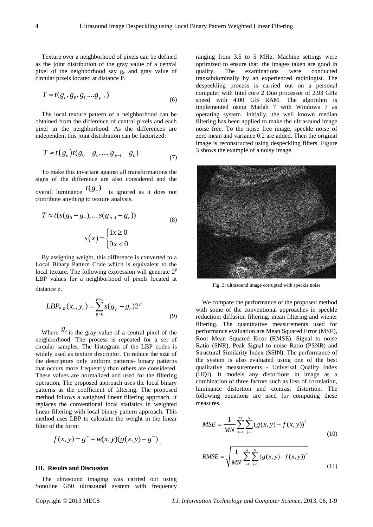Texture over a neighborhood of pixels can be defined as the joint distribution of the gray value of a central pixel of the neighborhood say g<sub>c</sub> and gray value of circular pixels located at distance P.

$$
T = t(g_c, g_0, g_1, \dots, g_{p-1})
$$
\n(6)

The local texture pattern of a neighborhood can be obtained from the difference of central pixels and each pixel in the neighborhood. As the differences are independent this joint distribution can be factorized:

$$
T \approx t(g_c)t(g_0 - g_c, ..., g_{p-1} - g_c)
$$
\n(7)

To make this invariant against all transformations the signs of the difference are also considered and the overall luminance  $t(g_c)$  is ignored as it does not contribute anything to texture analysis.

$$
T \approx t(s(g_0 - g_c), \dots s(g_{p-1} - g_c))
$$
\n
$$
s(x) = \begin{cases} 1x \ge 0\\ 0x < 0 \end{cases}
$$
\n(8)

By assigning weight, this difference is converted to a Local Binary Pattern Code which is equivalent to the local texture. The following expression will generate  $2^p$ LBP values for a neighborhood of pixels located at distance p.

$$
LBP_{P,R}(x_c, y_c) = \sum_{p=0}^{P-1} s(g_p - g_c) 2^p
$$
\n(9)

Where  $g_c$  is the gray value of a central pixel of the neighborhood. The process is repeated for a set of circular samples. The histogram of the LBP codes is widely used as texture descriptor. To reduce the size of the descriptors only uniform patterns- binary patterns that occurs more frequently than others are considered. These values are normalized and used for the filtering operation. The proposed approach uses the local binary patterns as the coefficient of filtering. The proposed method follows a weighted linear filtering approach. It replaces the conventional local statistics in weighted linear filtering with local binary pattern approach. This method uses LBP to calculate the weight in the linear filter of the form:

$$
f(x, y) = g^{-} + w(x, y)(g(x, y) - g^{-})
$$

## **III. Results and Discussion**

The ultrasound imaging was carried out using Sonoline G50 ultrasound system with frequency ranging from 3.5 to 5 MHz. Machine settings were optimized to ensure that, the images taken are good in quality. The examinations were conducted quality. The examinations transabdominally by an experienced radiologist. The despeckling process is carried out on a personal computer with Intel core 2 Duo processor of 2.93 GHz speed with 4.00 GB RAM. The algorithm is implemented using Matlab 7 with Windows 7 as operating system. Initially, the well known median filtering has been applied to make the ultrasound image noise free. To the noise free image, speckle noise of zero mean and variance 0.2 are added. Then the original image is reconstructed using despeckling filters. Figure 3 shows the example of a noisy image.



Fig. 3: ultrasound image corrupted with speckle noise

We compare the performance of the proposed method with some of the conventional approaches in speckle reduction: diffusion filtering, mean filtering and wiener filtering. The quantitative measurements used for performance evaluation are Mean Squared Error (MSE), Root Mean Squared Error (RMSE), Signal to noise Ratio (SNR), Peak Signal to noise Ratio (PSNR) and Structural Similarity Index (SSIN). The performance of the system is also evaluated using one of the best qualitative measurements - Universal Quality Index (UQI). It models any distortions in image as a combination of three factors such as loss of correlation, luminance distortion and contrast distortion. The following equations are used for computing these measures.

$$
MSE = \frac{1}{MN} \sum_{i=1}^{M} \sum_{j=1}^{N} (g(x, y) - f(x, y))^{2}
$$
(10)

RMSE = 
$$
\sqrt{\frac{1}{MN} \sum_{i=1}^{M} \sum_{j=1}^{N} (g(x, y) - f(x, y))^{2}}
$$
(11)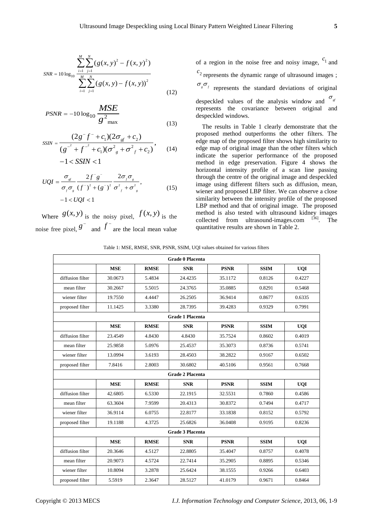$$
SNR = 10 \log_{10} \frac{\sum_{i=1}^{M} \sum_{j=1}^{N} (g(x, y)^2 - f(x, y)^2)}{\sum_{i=1}^{M} \sum_{j=1}^{N} (g(x, y) - f(x, y))^2}
$$
(12)

$$
PSNR = -10\log_{10}\frac{MSE}{g^2_{\text{max}}}
$$
\n(13)

$$
SSIN = \frac{(2g^-f^- + c_1)(2\sigma_{gf} + c_2)}{(g^{-2} + f^{-2} + c_1)(\sigma_{g}^2 + \sigma_{f}^2 + c_2)},
$$
\n
$$
-1 < SSIN < 1
$$
\n(14)

$$
UQI = \frac{\sigma_{sf}}{\sigma_{f}\sigma_{s}} \frac{2f^{2}g^{2}}{(f^{2})^{2} + (g^{2})^{2}} \frac{2\sigma_{f}\sigma_{s}}{\sigma_{f}^{2} + \sigma_{s}^{2}},
$$
\n
$$
-1 < UQI < 1
$$
\n(15)

Where  $g(x, y)$  is the noisy pixel,  $f(x, y)$  is the noise free pixel, *g* and  $f^$ are the local mean value of a region in the noise free and noisy image,  $c_1$  and  $c<sub>2</sub>$  represents the dynamic range of ultrasound images ;  $\sigma_{g}^{\mathbf{O}}$  *e* represents the standard deviations of original

despeckled values of the analysis window and  $\sigma_{g}$ represents the covariance between original and despeckled windows.

The results in Table 1 clearly demonstrate that the proposed method outperforms the other filters. The edge map of the proposed filter shows high similarity to edge map of original image than the other filters which indicate the superior performance of the proposed method in edge preservation. Figure 4 shows the horizontal intensity profile of a scan line passing through the centre of the original image and despeckled image using different filters such as diffusion, mean, wiener and proposed LBP filter. We can observe a close similarity between the intensity profile of the proposed LBP method and that of original image. The proposed method is also tested with ultrasound kidney images collected from ultrasound-images.com [36]. The quantitative results are shown in Table 2.

| Table 1: MSE, RMSE, SNR, PSNR, SSIM, UQI values obtained for various filters |  |  |  |  |
|------------------------------------------------------------------------------|--|--|--|--|
|------------------------------------------------------------------------------|--|--|--|--|

| <b>Grade 0 Placenta</b> |            |             |            |             |             |            |  |  |
|-------------------------|------------|-------------|------------|-------------|-------------|------------|--|--|
|                         | <b>MSE</b> | <b>RMSE</b> | <b>SNR</b> | <b>PSNR</b> | <b>SSIM</b> | <b>UQI</b> |  |  |
| diffusion filter        | 30.0673    | 5.4834      | 24.4235    | 35.1172     | 0.8126      | 0.4227     |  |  |
| mean filter             | 30.2667    | 5.5015      | 24.3765    | 35.0885     | 0.8291      | 0.5468     |  |  |
| wiener filter           | 19.7550    | 4.4447      | 26.2505    | 36.9414     | 0.8677      | 0.6335     |  |  |
| proposed filter         | 11.1425    | 3.3380      | 28.7395    | 39.4283     | 0.9329      | 0.7991     |  |  |
| <b>Grade 1 Placenta</b> |            |             |            |             |             |            |  |  |
|                         | <b>MSE</b> | <b>RMSE</b> | <b>SNR</b> | <b>PSNR</b> | <b>SSIM</b> | <b>UQI</b> |  |  |
| diffusion filter        | 23.4549    | 4.8430      | 4.8430     | 35.7524     | 0.8602      | 0.4019     |  |  |
| mean filter             | 25.9858    | 5.0976      | 25.4537    | 35.3073     | 0.8736      | 0.5741     |  |  |
| wiener filter           | 13.0994    | 3.6193      | 28.4503    | 38.2822     | 0.9167      | 0.6502     |  |  |
| proposed filter         | 7.8416     | 2.8003      | 30.6802    | 40.5106     | 0.9561      | 0.7668     |  |  |
| <b>Grade 2 Placenta</b> |            |             |            |             |             |            |  |  |
|                         | <b>MSE</b> | <b>RMSE</b> | <b>SNR</b> | <b>PSNR</b> | <b>SSIM</b> | <b>UQI</b> |  |  |
| diffusion filter        | 42.6805    | 6.5330      | 22.1915    | 32.5531     | 0.7860      | 0.4586     |  |  |
| mean filter             | 63.3604    | 7.9599      | 20.4313    | 30.8372     | 0.7494      | 0.4717     |  |  |
| wiener filter           | 36.9114    | 6.0755      | 22.8177    | 33.1838     | 0.8152      | 0.5792     |  |  |
| proposed filter         | 19.1188    | 4.3725      | 25.6826    | 36.0408     | 0.9195      | 0.8236     |  |  |
| <b>Grade 3 Placenta</b> |            |             |            |             |             |            |  |  |
|                         | <b>MSE</b> | <b>RMSE</b> | <b>SNR</b> | <b>PSNR</b> | <b>SSIM</b> | <b>UQI</b> |  |  |
| diffusion filter        | 20.3646    | 4.5127      | 22.8805    | 35.4047     | 0.8757      | 0.4078     |  |  |
| mean filter             | 20.9073    | 4.5724      | 22.7414    | 35.2905     | 0.8895      | 0.5346     |  |  |
| wiener filter           | 10.8094    | 3.2878      | 25.6424    | 38.1555     | 0.9266      | 0.6403     |  |  |
| proposed filter         | 5.5919     | 2.3647      | 28.5127    | 41.0179     | 0.9671      | 0.8464     |  |  |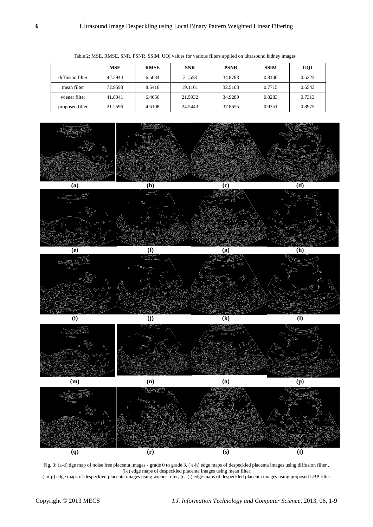|                  | MSE     | <b>RMSE</b> | <b>SNR</b> | <b>PSNR</b> | <b>SSIM</b> | <b>UQI</b> |
|------------------|---------|-------------|------------|-------------|-------------|------------|
| diffusion filter | 42.2944 | 6.5034      | 21.553     | 34.8783     | 0.8106      | 0.5223     |
| mean filter      | 72.9593 | 8.5416      | 19.1161    | 32.5103     | 0.7715      | 0.6543     |
| wiener filter    | 41.8041 | 6.4656      | 21.5932    | 34.9289     | 0.8283      | 0.7313     |
| proposed filter  | 21.2596 | 4.6108      | 24.5443    | 37.8655     | 0.9351      | 0.8975     |

Table 2: MSE, RMSE, SNR, PSNR, SSIM, UQI values for various filters applied on ultrasound kidney images











Fig. 3: (a-d) dge map of noise free placenta images - grade 0 to grade 3, ( e-h) edge maps of despeckled placenta images using diffusion filter , (i-l) edge maps of despeckled placenta images using mean filter,

( m-p) edge maps of despeckled placenta images using wiener filter, (q-t) ) edge maps of despeckled placenta images using proposed LBP filter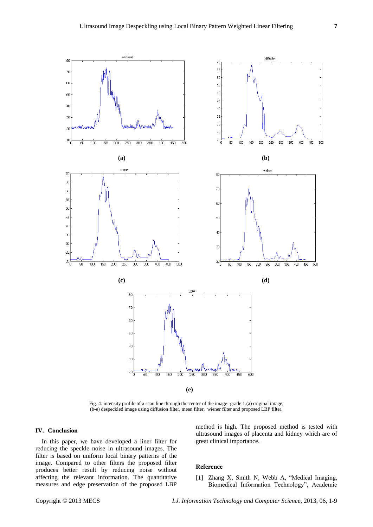

Fig. 4: intensity profile of a scan line through the center of the image- grade 1.(a) original image, (b-e) despeckled image using diffusion filter, mean filter, wiener filter and proposed LBP filter.

# **IV. Conclusion**

In this paper, we have developed a liner filter for reducing the speckle noise in ultrasound images. The filter is based on uniform local binary patterns of the image. Compared to other filters the proposed filter produces better result by reducing noise without affecting the relevant information. The quantitative measures and edge preservation of the proposed LBP

method is high. The proposed method is tested with ultrasound images of placenta and kidney which are of great clinical importance.

#### **Reference**

[1] Zhang X, Smith N, Webb A, "Medical Imaging, Biomedical Information Technology", Academic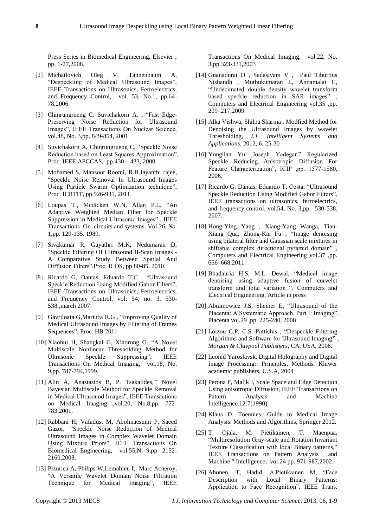Press Series in Biomedical Engineering, Elsevier , pp. 1-27,2008.

- [2] Michailovich Oleg V, Tannenbaum A, "Despeckling of Medical Ultrasound Images", IEEE Transactions on Ultrasonics, Ferroelectrics, and Frequency Control, vol. 53, No.1, pp.64- 78,2006.
- [3] Chinrungrueng C. Suvichakorn A., "Fast Edge-Preserving Noise Reduction for Ultrasound Images", IEEE Transactions On Nuclear Science, vol.48, No. 3,pp. 849-854, 2001.
- [4] Suvichakorn A, Chinrungrueng C, "Speckle Noise Reduction based on Least Squares Approximation", Proc. IEEE APCCAS, pp.430 – 433, 2000.
- [5] Mohamed S, Mansoor Roomi, R.B.Jayanthi rajee, ―Speckle Noise Removal In Ultrasound Images Using Particle Swarm Optimization technique", Proc. ICRTIT, pp.926-931, 2011.
- [6] Loupas T., Mcdicken W.N, Allan P.L, "An Adaptive Weighted Median Filter for Speckle Suppression in Medical Ultrasonic Images", IEEE Transactions On circuits and systems. Vol.*36, No.* 1,pp. 129-135. 1989.
- [7] Sivakumar R, Gayathri M.K, Nedumaran D, ―Speckle Filtering Of Ultrasound B-Scan Images - A Comparative Study Between Spatial And Diffusion Filters", Proc. ICOS, pp.80-85, 2010.
- [8] Ricardo G, Dantas, Eduardo T.C , "Ultrasound Speckle Reduction Using Modified Gabor Filters", IEEE Transactions on Ultrasonics, Ferroelectrics, and Frequency Control, vol. 54, no. 3, 530- 538 ,march 2007
- [9] Gavriloaia G, Mariuca R.G, "Improving Quality of Medical Ultrasound Images by Filtering of Frames Sequences", Proc. HB 2011
- [10] Xiaohui H, Shangkai G, Xiaorong G, "A Novel Multiscale Nonlinear Thresholding Method for Ultrasonic Speckle Suppressing", IEEE Transactions On Medical Imaging, vol.18, No. 9,pp. 787-794,1999.
- [11] Alin A, Anastasios B, P. Tsakalides*,"* Novel Bayesian Multiscale Method for Speckle Removal in Medical Ultrasound Images", IEEE Transactions on Medical Imaging ,vol.20, No.8,pp. 772- 783,2001.
- [12] Rabbani H, Vafadust M, Abolmaesumi P, Saeed Gazor*, "*Speckle Noise Reduction of Medical Ultrasound Images in Complex Wavelet Domain Using Mixture Priors", IEEE Transactions On Biomedical Engineering, vol.55,N. 9,pp. 2152- 2160,2008.
- [13] Pizurica A, Philips W*,*Lemahieu I, Marc Acheroy, ―A Versatile Wavelet Domain Noise Filtration Technique for Medical Imaging", IEEE

Transactions On Medical Imaging, vol.22, No. 3,pp.323-331,2003

- [14] Gnanadurai D , Sadasivam V , Paul Tiburtius Nishandh , Muthukumaran L, Annamalai C, ―Undecimated double density wavelet transform based speckle reduction in SAR images", Computers and Electrical Engineering vol.35 ,pp. 209–217,2009.
- [15] Alka Vishwa, Shilpa Sharma , Modfied Method for Denoising the Ultrasound Images by wavelet Thresholding, *I.J. Intelligent Systems and Applications,* 2012, 6, 25-30
- [16] Yongiian Yu ,Joseph Yadegar," Regularized Speckle Reducing Anisotropic Diffusion For Feature Characterization", ICIP ,pp. 1577-1580, 2006.
- [17] Ricardo G. Dantas, Eduardo T. Costa, "Ultrasound Speckle Reduction Using Modified Gabor Filters", IEEE transactions on ultrasonics, ferroelectrics, and frequency control, vol.54, No. 3,pp. 530-538, 2007.
- [18] Hong-Ying Yang , Xiang-Yang Wanga, Tian-Xiang Qua, Zhong-Kai Fu, "Image denoising using bilateral filter and Gaussian scale mixtures in shiftable complex directional pyramid domain", Computers and Electrical Engineering vol.37 ,pp. 656–668,2011.
- [19] Bhadauria H.S, M.L. Dewal, "Medical image denoising using adaptive fusion of curvelet transform and total variation ", Computers and Electrical Engineering, Article in press
- [20] Abramowicz J.S, Sheiner E, "Ultrasound of the Placenta: A Systematic Approach. Part I: Imaging", Placenta vol.29 ,pp. 225-240, 2008
- [21] Loizou C.P, C.S. Pattichis, "Despeckle Filtering Algorithms and Software for Ultrasound Imaging**"** , *Morgan & Claypool Publishers*, CA, USA, 2008.
- [22] Leonid Yaroslavsk, Digital Holography and Digital Image Processing:: Principles, Methods, Kluwer academic publishers, U.S.A, 2004
- [23] Perona P, Malik J, Scale Space and Edge Detection Using anisotropic Diffusion, IEEE Transactions on Pattern Analysis and Machine Intelligence.12:7(1990).
- [24] Klaus D. Toennies, Guide to Medical Image Analysis: Methods and Algorithms, Springer 2012.
- [25] T. Ojala, M. Pietikäinen, T. Maenpaa, ―Multiresolution Gray-scale and Rotation Invariant Texture Classification with local Binary patterns," IEEE Transactions on Pattern Analysis and Machine " Intelligence, vol.24 pp. 971-987,2002.
- [26] Ahonen, T, Hadid, A, Pietikainen M, "Face Description with Local Binary Patterns: Application to Face Recognition". IEEE Trans.